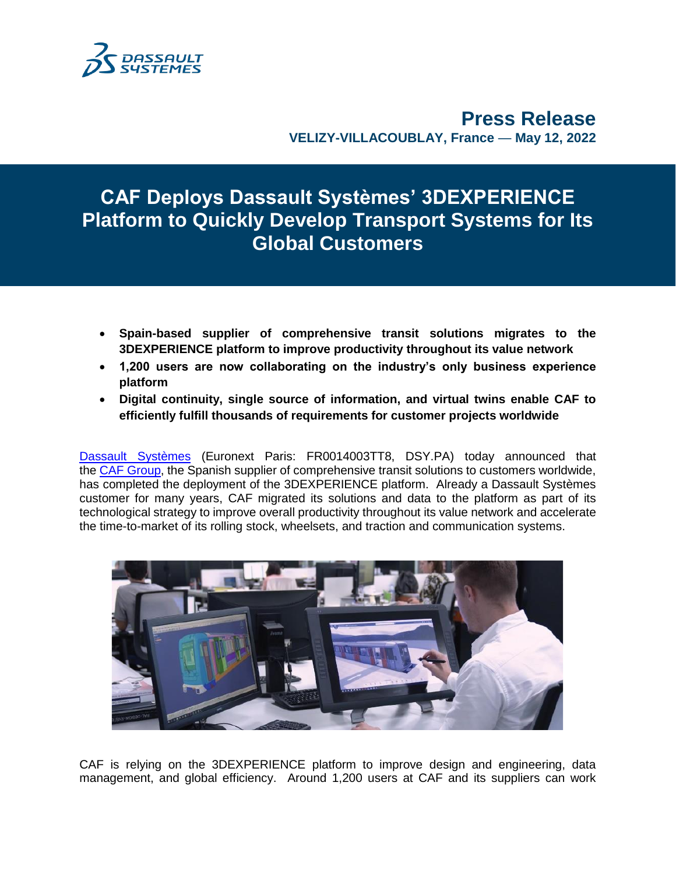

**Press Release VELIZY-VILLACOUBLAY, France** — **May 12, 2022**

# **CAF Deploys Dassault Systèmes' 3DEXPERIENCE Platform to Quickly Develop Transport Systems for Its Global Customers**

- **Spain-based supplier of comprehensive transit solutions migrates to the 3DEXPERIENCE platform to improve productivity throughout its value network**
- **1,200 users are now collaborating on the industry's only business experience platform**
- **Digital continuity, single source of information, and virtual twins enable CAF to efficiently fulfill thousands of requirements for customer projects worldwide**

[Dassault Systèmes](http://www.3ds.com/) (Euronext Paris: FR0014003TT8, DSY.PA) today announced that the [CAF Group,](https://www.caf.net/en/index.php) the Spanish supplier of comprehensive transit solutions to customers worldwide, has completed the deployment of the 3DEXPERIENCE platform. Already a Dassault Systèmes customer for many years, CAF migrated its solutions and data to the platform as part of its technological strategy to improve overall productivity throughout its value network and accelerate the time-to-market of its rolling stock, wheelsets, and traction and communication systems.



CAF is relying on the 3DEXPERIENCE platform to improve design and engineering, data management, and global efficiency. Around 1,200 users at CAF and its suppliers can work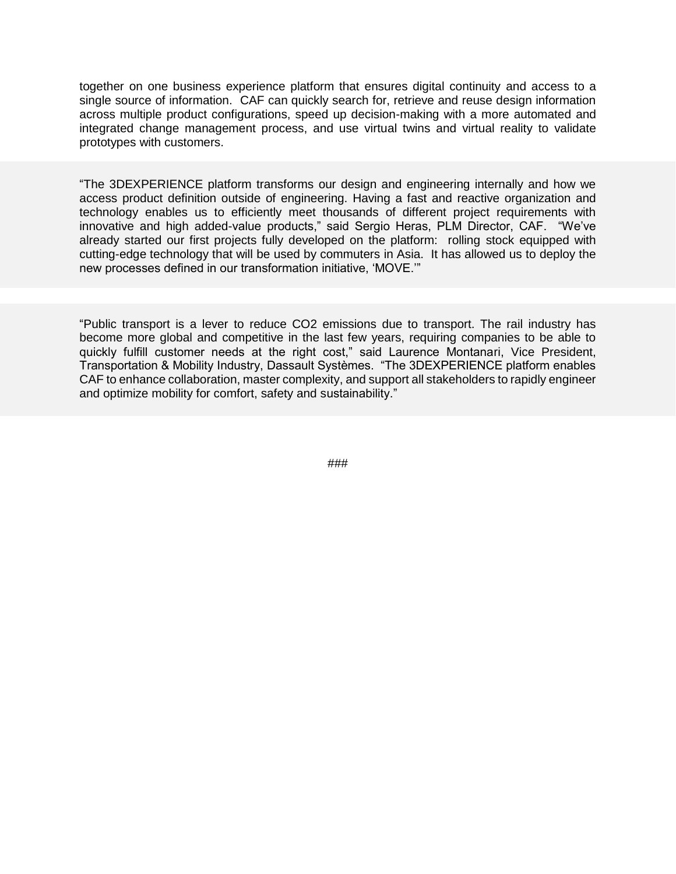together on one business experience platform that ensures digital continuity and access to a single source of information. CAF can quickly search for, retrieve and reuse design information across multiple product configurations, speed up decision-making with a more automated and integrated change management process, and use virtual twins and virtual reality to validate prototypes with customers.

"The 3DEXPERIENCE platform transforms our design and engineering internally and how we access product definition outside of engineering. Having a fast and reactive organization and technology enables us to efficiently meet thousands of different project requirements with innovative and high added-value products," said Sergio Heras, PLM Director, CAF. "We've already started our first projects fully developed on the platform: rolling stock equipped with cutting-edge technology that will be used by commuters in Asia. It has allowed us to deploy the new processes defined in our transformation initiative, 'MOVE.'"

"Public transport is a lever to reduce CO2 emissions due to transport. The rail industry has become more global and competitive in the last few years, requiring companies to be able to quickly fulfill customer needs at the right cost," said Laurence Montanari, Vice President, Transportation & Mobility Industry, Dassault Systèmes. "The 3DEXPERIENCE platform enables CAF to enhance collaboration, master complexity, and support all stakeholders to rapidly engineer and optimize mobility for comfort, safety and sustainability."

###